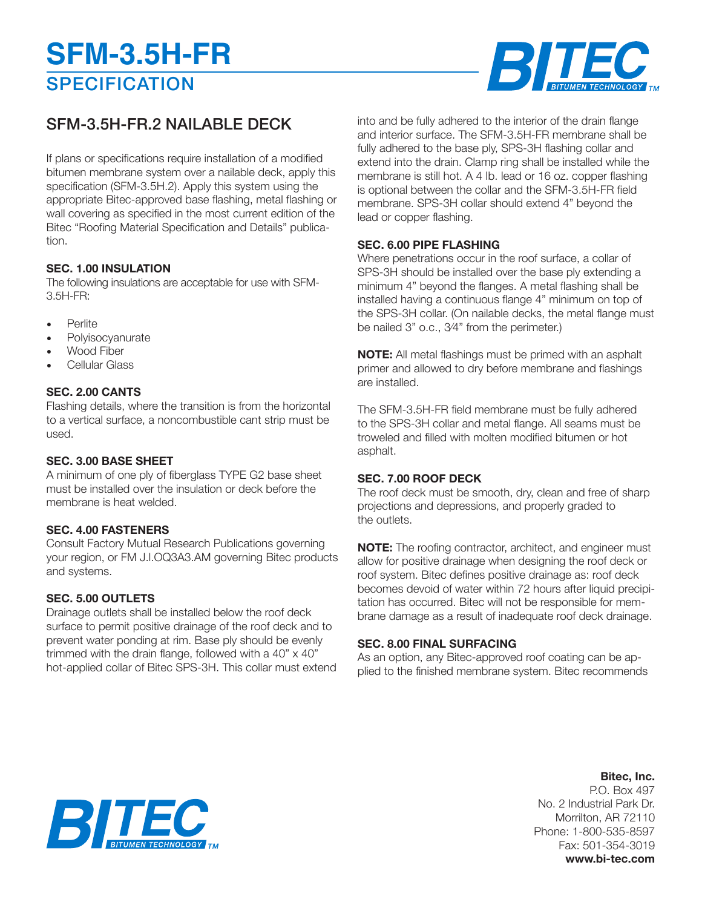# **SPECIFICATION SFM-3.5H-FR**



## SFM-3.5H-FR.2 NAILABLE DECK

If plans or specifications require installation of a modified bitumen membrane system over a nailable deck, apply this specification (SFM-3.5H.2). Apply this system using the appropriate Bitec-approved base flashing, metal flashing or wall covering as specified in the most current edition of the Bitec "Roofing Material Specification and Details" publication.

### **SEC. 1.00 INSULATION**

The following insulations are acceptable for use with SFM-3.5H-FR:

- **Perlite**
- **Polyisocyanurate**
- Wood Fiber
- Cellular Glass

#### **SEC. 2.00 CANTS**

Flashing details, where the transition is from the horizontal to a vertical surface, a noncombustible cant strip must be used.

#### **SEC. 3.00 BASE SHEET**

A minimum of one ply of fiberglass TYPE G2 base sheet must be installed over the insulation or deck before the membrane is heat welded.

#### **SEC. 4.00 FASTENERS**

Consult Factory Mutual Research Publications governing your region, or FM J.l.OQ3A3.AM governing Bitec products and systems.

#### **SEC. 5.00 OUTLETS**

Drainage outlets shall be installed below the roof deck surface to permit positive drainage of the roof deck and to prevent water ponding at rim. Base ply should be evenly trimmed with the drain flange, followed with a  $40" \times 40"$ hot-applied collar of Bitec SPS-3H. This collar must extend into and be fully adhered to the interior of the drain flange and interior surface. The SFM-3.5H-FR membrane shall be fully adhered to the base ply, SPS-3H flashing collar and extend into the drain. Clamp ring shall be installed while the membrane is still hot. A 4 Ib. lead or 16 oz. copper flashing is optional between the collar and the SFM-3.5H-FR field membrane. SPS-3H collar should extend 4" beyond the lead or copper flashing.

#### **SEC. 6.00 PIPE FLASHING**

Where penetrations occur in the roof surface, a collar of SPS-3H should be installed over the base ply extending a minimum 4" beyond the flanges. A metal flashing shall be installed having a continuous flange 4" minimum on top of the SPS-3H collar. (On nailable decks, the metal flange must be nailed 3" o.c., 3⁄4" from the perimeter.)

**NOTE:** All metal flashings must be primed with an asphalt primer and allowed to dry before membrane and flashings are installed.

The SFM-3.5H-FR field membrane must be fully adhered to the SPS-3H collar and metal flange. All seams must be troweled and filled with molten modified bitumen or hot asphalt.

#### **SEC. 7.00 ROOF DECK**

The roof deck must be smooth, dry, clean and free of sharp projections and depressions, and properly graded to the outlets.

**NOTE:** The roofing contractor, architect, and engineer must allow for positive drainage when designing the roof deck or roof system. Bitec defines positive drainage as: roof deck becomes devoid of water within 72 hours after liquid precipitation has occurred. Bitec will not be responsible for membrane damage as a result of inadequate roof deck drainage.

#### **SEC. 8.00 FINAL SURFACING**

As an option, any Bitec-approved roof coating can be applied to the finished membrane system. Bitec recommends

### **Bitec, Inc.**

P.O. Box 497 No. 2 Industrial Park Dr. Morrilton, AR 72110 Phone: 1-800-535-8597 Fax: 501-354-3019 **www.bi-tec.com**